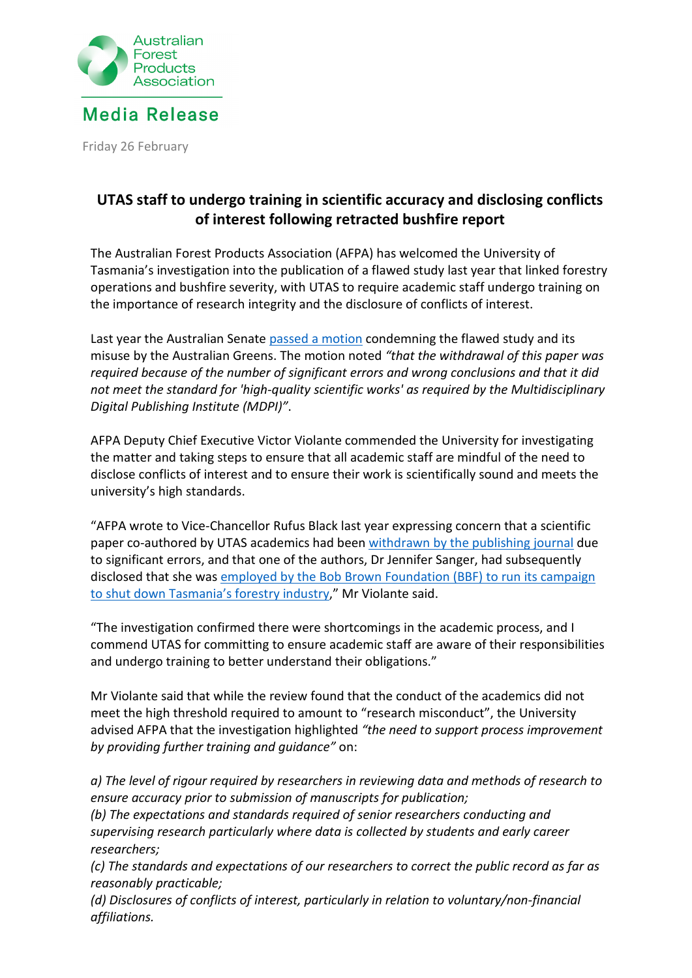

Friday 26 February

## **UTAS staff to undergo training in scientific accuracy and disclosing conflicts of interest following retracted bushfire report**

The Australian Forest Products Association (AFPA) has welcomed the University of Tasmania's investigation into the publication of a flawed study last year that linked forestry operations and bushfire severity, with UTAS to require academic staff undergo training on the importance of research integrity and the disclosure of conflicts of interest.

Last year the Australian Senat[e passed a motion](http://link.mediaoutreach.meltwater.com/ls/click?upn=DASq-2F0pMdPEn47BcGFQZ2QU7SeSJb1B5LmSpbYIejq91-2F3G-2FNb4382SntF0ZshaahqwZfUB6xJsZfHgIt-2BlbWA6RxmutyQNPRkjreiK1jblWFCcOzJwpmY-2F99Q3PbHqOx6PR_XsGA-2Fgkm2IVk-2FlYw8ReyfIT-2FrB5XPKtZPygmRuqmu-2FcalzvsFJkSqmwN8ve9QY-2F-2Bw4cVKWa7R10cAmuvoWQmGTxwuP0UkcMwS6BM3ac21OhNqaMq3yp0bNgWSiXh-2BzwnA1195CQXcBHvnwWBX4tMduxtu-2BMg6CYbVmPAe6OBzXl8L-2B9BAswyIQKEzf3I4dmuWZQF96pbSbSWdkZyxojN-2B7VmtR6XR9NJ-2BFuGoccrknm94HexqWa9BNpZZh5VWARWLYU-2BqK4CnONh1c2aNceO86eN7SsDaEqngfOgjMpzVBAZ9CtdPKQX2YMAO6nOowiMmmo0t2y-2BIUukVB94BdfF6VBrzEhqlkTV6skcLGbS3xqC35FBmQh-2FwuiWemd2rGW5mdmOpHWzYaWSlielXg7RviYcdU8gDa3x-2Bai1VDuo2po-3D) condemning the flawed study and its misuse by the Australian Greens. The motion noted *"that the withdrawal of this paper was required because of the number of significant errors and wrong conclusions and that it did not meet the standard for 'high-quality scientific works' as required by the Multidisciplinary Digital Publishing Institute (MDPI)"*.

AFPA Deputy Chief Executive Victor Violante commended the University for investigating the matter and taking steps to ensure that all academic staff are mindful of the need to disclose conflicts of interest and to ensure their work is scientifically sound and meets the university's high standards.

"AFPA wrote to Vice-Chancellor Rufus Black last year expressing concern that a scientific paper co-authored by UTAS academics had been [withdrawn by the publishing journal](http://link.mediaoutreach.meltwater.com/ls/click?upn=LaVw6lO3WZrcMIvqgc-2BQ-2FZ0-2FhOGbws8pvcqwyw0ZRhDWggFtFaGORmJskzJZHBxV-2F-2BsGB-2B5zGupIOQqYu4ytmawrbUy-2BIAJUtOp6-2BAskRdpvwZzjYK7N7Yh8gG-2Fu5VvxCeeSsQ3e1Wc2lV-2FLr4rbeJ2xEYcUtvaqLe7Lbj75taRPuTwTEB8axFBFC3-2BpvmBZS57nW8SlIKTRalA6yHCfnkb69NbUmza5NdKqeseTONUje7j4wItdXMJEqn94Zwanc-2BzjUHDgtz94XylK0mxTYhycDnFCLZ29zcsHYGS3XSFLOFFRUSEW21vB-2Bnpj822d0CffPL4qm44KdDY290z-2FOnp4vRs5iY6t-2BFxOxn-2FE34Iuq-2FRD48DtVLk5gMMX8lkH0rcWOaST-2BWvBcmmTWeB6dTM2ab4tRWRKAgwE513K8aBWfys9PyUHAm11udxb1c6gAK9kR6S-2FiSw7IAZ2mqsw8Sq3Sehk4nIJ-2BSRWFduweotrjA5J2tTCMfm1UK9wB2l8E4qU3Onr8ym230JzqRcXcnsDoDMKPyTMItVDcPQPW8833SRa-2Bz6QOdwi68ZQBE1jb0xYQsqdA1jCePZbmAHALVV-2BKO0-2BOaTD7zs3yZ86s9sEVbv8TP-2FkWEUpkutfo-2FJFPwNikwom-2B32Ntjhph7S80KUWciXdht8yZIOAbvfH1YBbApAJH7FIRIDWRf25BEmgafA5gROPSjhf3HF1IdKgBG75SBAukAtNRmjCKghBo88Ia4bCwWhRHIwIDX3yp2MWJLLpuLL9np4BCHDinsqrQ7iWWyKuo-2FZD0v2-2FoFvpqRG0z7QPo1gssDfDcIBOtGFzJUNlnw1x1ZAaA6MTH76hbmBPZAFe7Cmg4XCjOKLXSs3Q-2B7FZrYv3WVh8btCxoPnzl2syb2lfgKER-2Byr-2F7r6Nzqg4T1nl-2BCP3QVboN-2BYr0i2cQTwdWjjvkk-2Bn5en-2BWvX5sYSs_XsGA-2Fgkm2IVk-2FlYw8ReyfIT-2FrB5XPKtZPygmRuqmu-2FcalzvsFJkSqmwN8ve9QY-2F-2Bw4cVKWa7R10cAmuvoWQmGTxwuP0UkcMwS6BM3ac21OhNqaMq3yp0bNgWSiXh-2BzwnA1195CQXcBHvnwWBX4tMduxtu-2BMg6CYbVmPAe6OBzXl8L-2B9BAswyIQKEzf3I4dmuWZQF96pbSbSWdkZyxojN-2B7VmtR6XR9NJ-2BFuGoccrknnNHArwnGvS7RsLeb-2BGhmxmdgREJNOxFuCXL9eOfOm3u8sdtsP6r80Ov-2FJcduUKQ9k6odXW0um278CgNHsSIJreq5z-2BljgAk4zF43e8jec3gaTwnkM0k1YfXLGYbJaUJVoCoDJ2QauwEgeixIQHewF7uuGkcwhj8NWo1HL1Yhyviz08BT-2BToXE-2BorCva-2BPzvzE-3D) due to significant errors, and that one of the authors, Dr Jennifer Sanger, had subsequently disclosed that she was [employed by the Bob Brown Foundation \(BBF\) to run its campaign](https://theconversation.com/photos-from-the-field-capturing-the-grandeur-and-heartbreak-of-tasmanias-giant-trees-144743)  [to shut down Tasmania's forestry industry,](https://theconversation.com/photos-from-the-field-capturing-the-grandeur-and-heartbreak-of-tasmanias-giant-trees-144743)" Mr Violante said.

"The investigation confirmed there were shortcomings in the academic process, and I commend UTAS for committing to ensure academic staff are aware of their responsibilities and undergo training to better understand their obligations."

Mr Violante said that while the review found that the conduct of the academics did not meet the high threshold required to amount to "research misconduct", the University advised AFPA that the investigation highlighted *"the need to support process improvement by providing further training and guidance"* on:

*a) The level of rigour required by researchers in reviewing data and methods of research to ensure accuracy prior to submission of manuscripts for publication;* 

*(b) The expectations and standards required of senior researchers conducting and supervising research particularly where data is collected by students and early career researchers;* 

*(c) The standards and expectations of our researchers to correct the public record as far as reasonably practicable;* 

*(d) Disclosures of conflicts of interest, particularly in relation to voluntary/non-financial affiliations.*